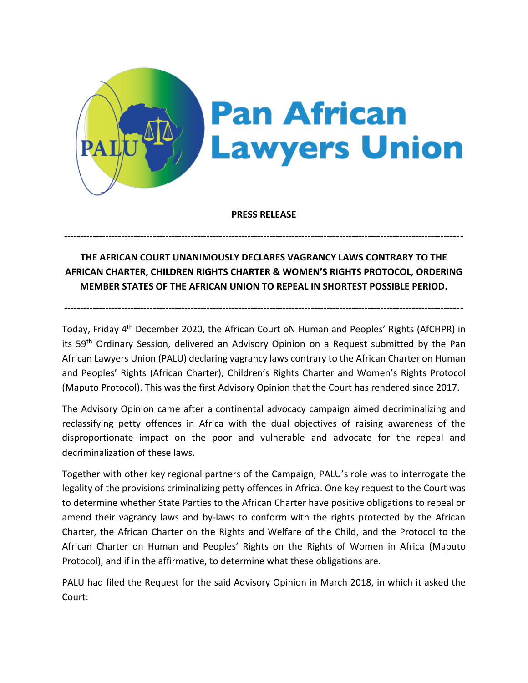

**PRESS RELEASE**

**------------------------------------------------------------------------------------------------------------------------------**

## **THE AFRICAN COURT UNANIMOUSLY DECLARES VAGRANCY LAWS CONTRARY TO THE AFRICAN CHARTER, CHILDREN RIGHTS CHARTER & WOMEN'S RIGHTS PROTOCOL, ORDERING MEMBER STATES OF THE AFRICAN UNION TO REPEAL IN SHORTEST POSSIBLE PERIOD.**

**------------------------------------------------------------------------------------------------------------------------------**

Today, Friday 4<sup>th</sup> December 2020, the African Court oN Human and Peoples' Rights (AfCHPR) in its 59th Ordinary Session, delivered an Advisory Opinion on a Request submitted by the Pan African Lawyers Union (PALU) declaring vagrancy laws contrary to the African Charter on Human and Peoples' Rights (African Charter), Children's Rights Charter and Women's Rights Protocol (Maputo Protocol). This was the first Advisory Opinion that the Court has rendered since 2017.

The Advisory Opinion came after a continental advocacy campaign aimed decriminalizing and reclassifying petty offences in Africa with the dual objectives of raising awareness of the disproportionate impact on the poor and vulnerable and advocate for the repeal and decriminalization of these laws.

Together with other key regional partners of the Campaign, PALU's role was to interrogate the legality of the provisions criminalizing petty offences in Africa. One key request to the Court was to determine whether State Parties to the African Charter have positive obligations to repeal or amend their vagrancy laws and by-laws to conform with the rights protected by the African Charter, the African Charter on the Rights and Welfare of the Child, and the Protocol to the African Charter on Human and Peoples' Rights on the Rights of Women in Africa (Maputo Protocol), and if in the affirmative, to determine what these obligations are.

PALU had filed the Request for the said Advisory Opinion in March 2018, in which it asked the Court: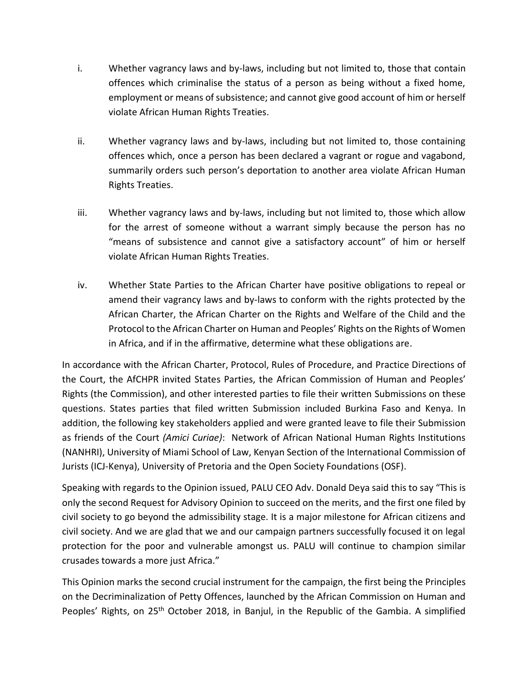- i. Whether vagrancy laws and by-laws, including but not limited to, those that contain offences which criminalise the status of a person as being without a fixed home, employment or means of subsistence; and cannot give good account of him or herself violate African Human Rights Treaties.
- ii. Whether vagrancy laws and by-laws, including but not limited to, those containing offences which, once a person has been declared a vagrant or rogue and vagabond, summarily orders such person's deportation to another area violate African Human Rights Treaties.
- iii. Whether vagrancy laws and by-laws, including but not limited to, those which allow for the arrest of someone without a warrant simply because the person has no "means of subsistence and cannot give a satisfactory account" of him or herself violate African Human Rights Treaties.
- iv. Whether State Parties to the African Charter have positive obligations to repeal or amend their vagrancy laws and by-laws to conform with the rights protected by the African Charter, the African Charter on the Rights and Welfare of the Child and the Protocol to the African Charter on Human and Peoples' Rights on the Rights of Women in Africa, and if in the affirmative, determine what these obligations are.

In accordance with the African Charter, Protocol, Rules of Procedure, and Practice Directions of the Court, the AfCHPR invited States Parties, the African Commission of Human and Peoples' Rights (the Commission), and other interested parties to file their written Submissions on these questions. States parties that filed written Submission included Burkina Faso and Kenya. In addition, the following key stakeholders applied and were granted leave to file their Submission as friends of the Court *(Amici Curiae)*: Network of African National Human Rights Institutions (NANHRI), University of Miami School of Law, Kenyan Section of the International Commission of Jurists (ICJ-Kenya), University of Pretoria and the Open Society Foundations (OSF).

Speaking with regards to the Opinion issued, PALU CEO Adv. Donald Deya said this to say "This is only the second Request for Advisory Opinion to succeed on the merits, and the first one filed by civil society to go beyond the admissibility stage. It is a major milestone for African citizens and civil society. And we are glad that we and our campaign partners successfully focused it on legal protection for the poor and vulnerable amongst us. PALU will continue to champion similar crusades towards a more just Africa."

This Opinion marks the second crucial instrument for the campaign, the first being the Principles on the Decriminalization of Petty Offences, launched by the African Commission on Human and Peoples' Rights, on 25<sup>th</sup> October 2018, in Banjul, in the Republic of the Gambia. A simplified